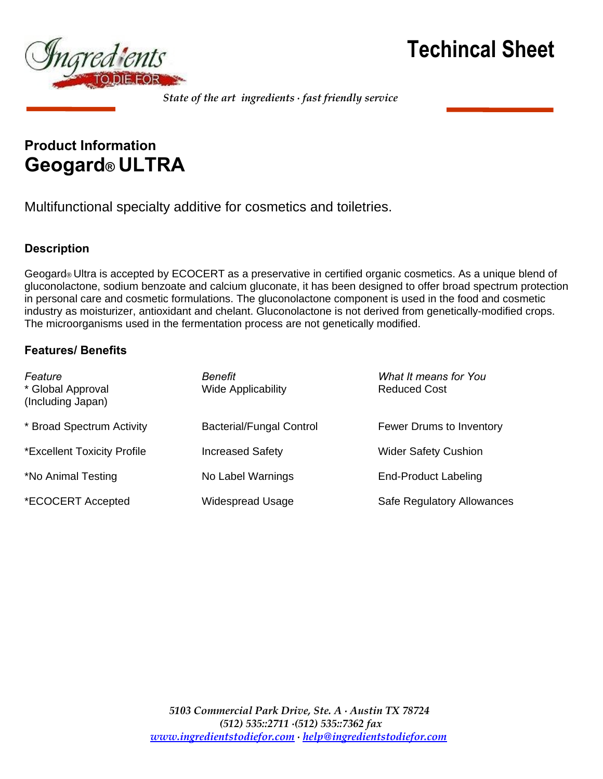



## **Product Information Geogard® ULTRA**

Multifunctional specialty additive for cosmetics and toiletries.

## **Description**

Geogard® Ultra is accepted by ECOCERT as a preservative in certified organic cosmetics. As a unique blend of gluconolactone, sodium benzoate and calcium gluconate, it has been designed to offer broad spectrum protection in personal care and cosmetic formulations. The gluconolactone component is used in the food and cosmetic industry as moisturizer, antioxidant and chelant. Gluconolactone is not derived from genetically-modified crops. The microorganisms used in the fermentation process are not genetically modified.

## **Features/ Benefits**

| Feature<br>* Global Approval<br>(Including Japan) | Benefit<br><b>Wide Applicability</b> | What It means for You<br><b>Reduced Cost</b> |
|---------------------------------------------------|--------------------------------------|----------------------------------------------|
| * Broad Spectrum Activity                         | <b>Bacterial/Fungal Control</b>      | Fewer Drums to Inventory                     |
| *Excellent Toxicity Profile                       | <b>Increased Safety</b>              | <b>Wider Safety Cushion</b>                  |
| *No Animal Testing                                | No Label Warnings                    | <b>End-Product Labeling</b>                  |
| *ECOCERT Accepted                                 | Widespread Usage                     | Safe Regulatory Allowances                   |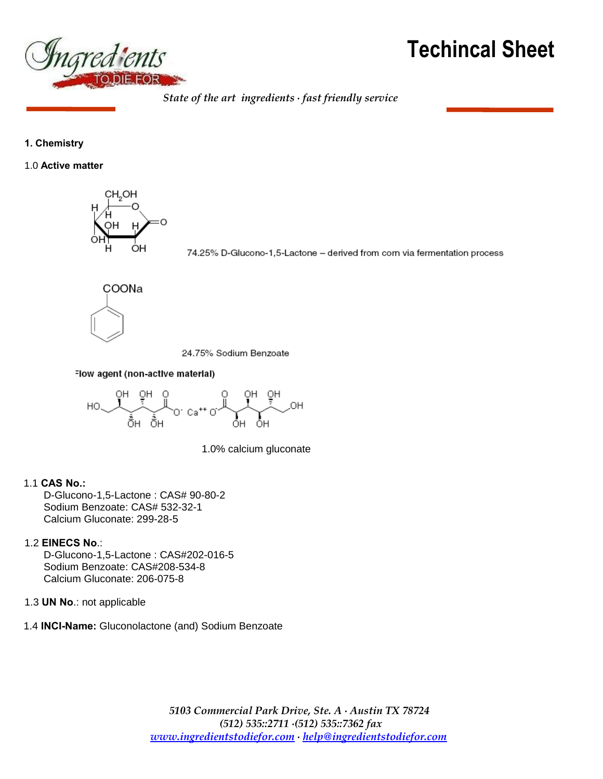

## **Techincal Sheet**

*State of the art ingredients ∙ fast friendly service*

## **1. Chemistry**

1.0 **Active matter**



74.25% D-Glucono-1,5-Lactone - derived from corn via fermentation process



24.75% Sodium Benzoate

Flow agent (non-active material)



1.0% calcium gluconate

## 1.1 **CAS No.:**

D-Glucono-1,5-Lactone : CAS# 90-80-2 Sodium Benzoate: CAS# 532-32-1 Calcium Gluconate: 299-28-5

## 1.2 **EINECS No**.:

D-Glucono-1,5-Lactone : CAS#202-016-5 Sodium Benzoate: CAS#208-534-8 Calcium Gluconate: 206-075-8

1.3 **UN No**.: not applicable

1.4 **INCI-Name:** Gluconolactone (and) Sodium Benzoate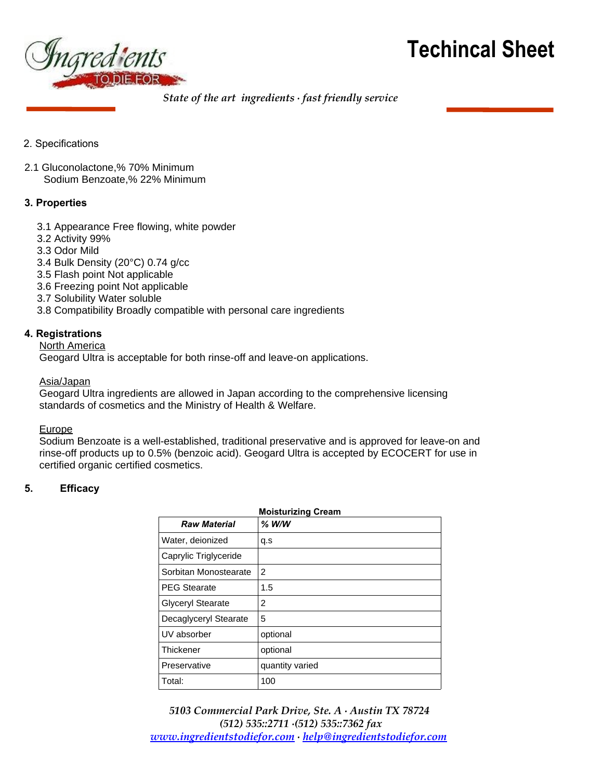



- 2. Specifications
- 2.1 Gluconolactone,% 70% Minimum Sodium Benzoate,% 22% Minimum

## **3. Properties**

- 3.1 Appearance Free flowing, white powder
- 3.2 Activity 99%
- 3.3 Odor Mild
- 3.4 Bulk Density (20°C) 0.74 g/cc
- 3.5 Flash point Not applicable
- 3.6 Freezing point Not applicable
- 3.7 Solubility Water soluble
- 3.8 Compatibility Broadly compatible with personal care ingredients

## **4. Registrations**

**North America** 

Geogard Ultra is acceptable for both rinse-off and leave-on applications.

#### Asia/Japan

Geogard Ultra ingredients are allowed in Japan according to the comprehensive licensing standards of cosmetics and the Ministry of Health & Welfare.

#### **Europe**

Sodium Benzoate is a well-established, traditional preservative and is approved for leave-on and rinse-off products up to 0.5% (benzoic acid). Geogard Ultra is accepted by ECOCERT for use in certified organic certified cosmetics.

## **5. Efficacy**

| <b>Moisturizing Cream</b> |                 |  |
|---------------------------|-----------------|--|
| <b>Raw Material</b>       | $%$ W/W         |  |
| Water, deionized          | q.s             |  |
| Caprylic Triglyceride     |                 |  |
| Sorbitan Monostearate     | 2               |  |
| <b>PEG Stearate</b>       | 1.5             |  |
| <b>Glyceryl Stearate</b>  | 2               |  |
| Decaglyceryl Stearate     | 5               |  |
| UV absorber               | optional        |  |
| <b>Thickener</b>          | optional        |  |
| Preservative              | quantity varied |  |
| Total:                    | 100             |  |

*5103 Commercial Park Drive, Ste. A ∙ Austin TX 78724 (512) 535::2711 ∙(512) 535::7362 fax [www.ingredientstodiefor.com](http://www.ingredientstodiefor.com/) ∙ [help@ingredientstodiefor.com](mailto:help@ingredientstodiefor.com)*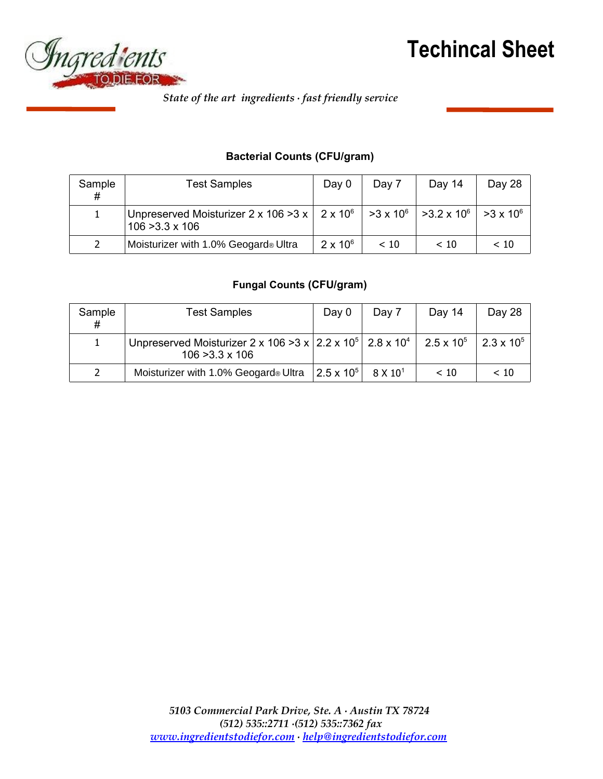



## **Bacterial Counts (CFU/gram)**

| Sample<br># | <b>Test Samples</b>                                                                                                                                         | Day 0           | Day 7 | Day 14 | Day 28           |
|-------------|-------------------------------------------------------------------------------------------------------------------------------------------------------------|-----------------|-------|--------|------------------|
|             | $\mid$ Unpreserved Moisturizer 2 x 106 >3 x $\mid$ 2 x 10 $^{\circ}$ $\mid$ >3 x 10 $^{\circ}$ $\mid$ >3.2 x 10 $^{\circ}$ $\mid$<br>$106 > 3.3 \times 106$ |                 |       |        | $>3 \times 10^6$ |
| 2           | Moisturizer with 1.0% Geogard® Ultra                                                                                                                        | $2 \times 10^6$ | ~< 10 | < 10   | < 10             |

## **Fungal Counts (CFU/gram)**

| Sample<br># | <b>Test Samples</b>                                                                                                                 | Day 0                 | Day 7           | Day 14              | Day 28              |
|-------------|-------------------------------------------------------------------------------------------------------------------------------------|-----------------------|-----------------|---------------------|---------------------|
|             | Unpreserved Moisturizer 2 x 106 > 3 x $\vert$ 2.2 x 10 <sup>5</sup> $\vert$ 2.8 x 10 <sup>4</sup> $\vert$<br>$106 > 3.3 \times 106$ |                       |                 | $2.5 \times 10^{5}$ | $2.3 \times 10^{5}$ |
| 2           | Moisturizer with 1.0% Geogard® Ultra                                                                                                | $ 2.5 \times 10^{5} $ | $8\times10^{1}$ | < 10                | < 10                |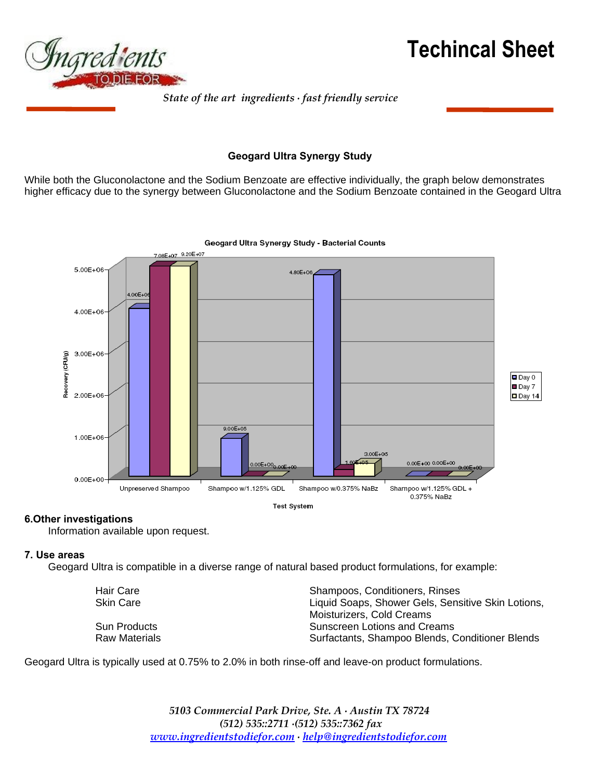



## **Geogard Ultra Synergy Study**

While both the Gluconolactone and the Sodium Benzoate are effective individually, the graph below demonstrates higher efficacy due to the synergy between Gluconolactone and the Sodium Benzoate contained in the Geogard Ultra



## **6.Other investigations**

Information available upon request.

#### **7. Use areas**

Geogard Ultra is compatible in a diverse range of natural based product formulations, for example:

| Hair Care            | Shampoos, Conditioners, Rinses                     |
|----------------------|----------------------------------------------------|
| <b>Skin Care</b>     | Liquid Soaps, Shower Gels, Sensitive Skin Lotions, |
|                      | Moisturizers, Cold Creams                          |
| <b>Sun Products</b>  | Sunscreen Lotions and Creams                       |
| <b>Raw Materials</b> | Surfactants, Shampoo Blends, Conditioner Blends    |

Geogard Ultra is typically used at 0.75% to 2.0% in both rinse-off and leave-on product formulations.

*5103 Commercial Park Drive, Ste. A ∙ Austin TX 78724 (512) 535::2711 ∙(512) 535::7362 fax [www.ingredientstodiefor.com](http://www.ingredientstodiefor.com/) ∙ [help@ingredientstodiefor.com](mailto:help@ingredientstodiefor.com)*